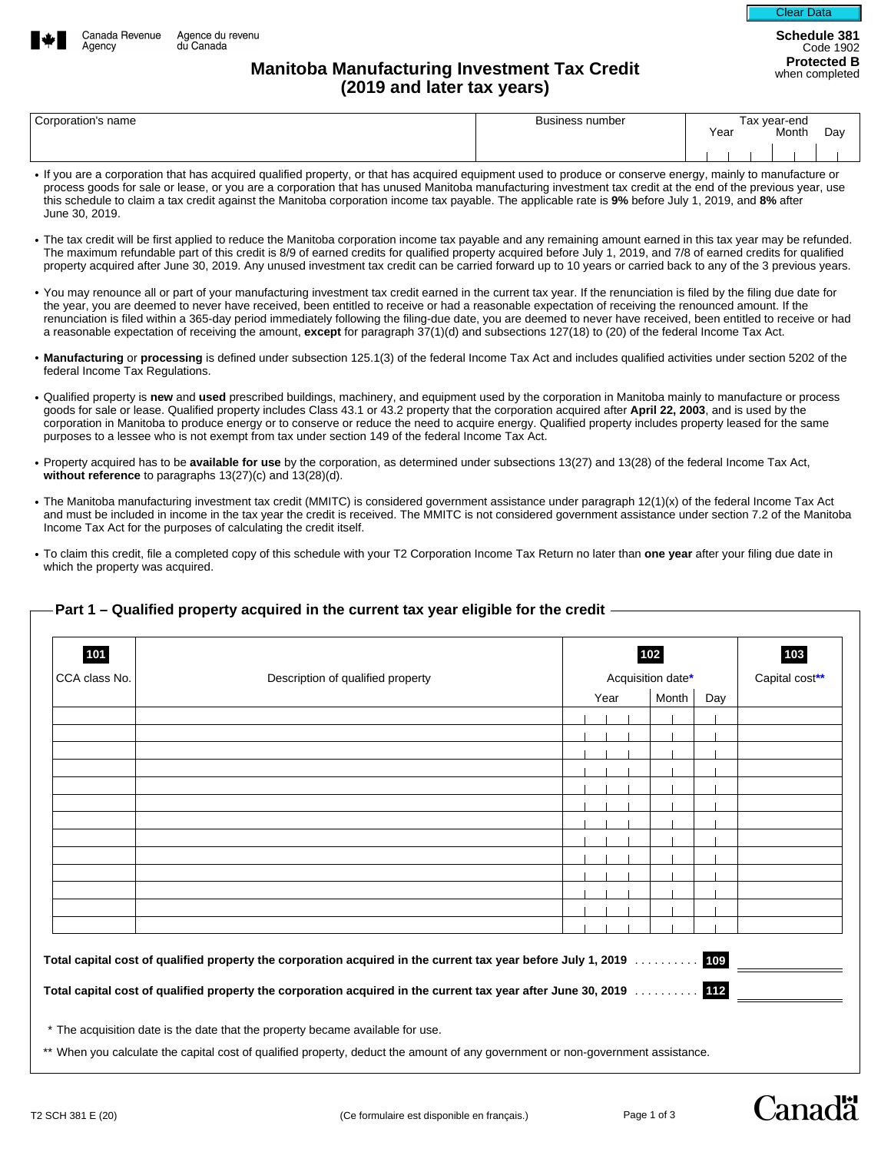

Agency

Code 1902

## **Manitoba Manufacturing Investment Tax Credit Credit Report Constructed B Manitoba Manufacturing Investment Tax Credit (2019 and later tax years)**

| Corporation's name | Business number | Гах vear-end |       |     |
|--------------------|-----------------|--------------|-------|-----|
|                    |                 | Year         | Month | Day |
|                    |                 |              |       |     |

- If you are a corporation that has acquired qualified property, or that has acquired equipment used to produce or conserve energy, mainly to manufacture or process goods for sale or lease, or you are a corporation that has unused Manitoba manufacturing investment tax credit at the end of the previous year, use this schedule to claim a tax credit against the Manitoba corporation income tax payable. The applicable rate is **9%** before July 1, 2019, and **8%** after June 30, 2019.
- The tax credit will be first applied to reduce the Manitoba corporation income tax payable and any remaining amount earned in this tax year may be refunded. The maximum refundable part of this credit is 8/9 of earned credits for qualified property acquired before July 1, 2019, and 7/8 of earned credits for qualified property acquired after June 30, 2019. Any unused investment tax credit can be carried forward up to 10 years or carried back to any of the 3 previous years.
- You may renounce all or part of your manufacturing investment tax credit earned in the current tax year. If the renunciation is filed by the filing due date for the year, you are deemed to never have received, been entitled to receive or had a reasonable expectation of receiving the renounced amount. If the renunciation is filed within a 365-day period immediately following the filing-due date, you are deemed to never have received, been entitled to receive or had a reasonable expectation of receiving the amount, **except** for paragraph 37(1)(d) and subsections 127(18) to (20) of the federal Income Tax Act.
- **Manufacturing** or **processing** is defined under subsection 125.1(3) of the federal Income Tax Act and includes qualified activities under section 5202 of the federal Income Tax Regulations.
- Qualified property is **new** and **used** prescribed buildings, machinery, and equipment used by the corporation in Manitoba mainly to manufacture or process goods for sale or lease. Qualified property includes Class 43.1 or 43.2 property that the corporation acquired after **April 22, 2003**, and is used by the corporation in Manitoba to produce energy or to conserve or reduce the need to acquire energy. Qualified property includes property leased for the same purposes to a lessee who is not exempt from tax under section 149 of the federal Income Tax Act.
- Property acquired has to be **available for use** by the corporation, as determined under subsections 13(27) and 13(28) of the federal Income Tax Act, **without reference** to paragraphs 13(27)(c) and 13(28)(d).
- The Manitoba manufacturing investment tax credit (MMITC) is considered government assistance under paragraph 12(1)(x) of the federal Income Tax Act and must be included in income in the tax year the credit is received. The MMITC is not considered government assistance under section 7.2 of the Manitoba Income Tax Act for the purposes of calculating the credit itself.
- To claim this credit, file a completed copy of this schedule with your T2 Corporation Income Tax Return no later than **one year** after your filing due date in which the property was acquired.

| 101           |                                   |      | 102               |     | 103 |  |
|---------------|-----------------------------------|------|-------------------|-----|-----|--|
| CCA class No. | Description of qualified property |      | Acquisition date* |     |     |  |
|               |                                   | Year | Month             | Day |     |  |
|               |                                   |      |                   |     |     |  |
|               |                                   |      |                   |     |     |  |
|               |                                   |      |                   |     |     |  |
|               |                                   |      |                   |     |     |  |
|               |                                   |      |                   |     |     |  |
|               |                                   |      |                   |     |     |  |
|               |                                   |      |                   |     |     |  |
|               |                                   |      |                   |     |     |  |
|               |                                   |      |                   |     |     |  |
|               |                                   |      |                   |     |     |  |
|               |                                   |      |                   |     |     |  |
|               |                                   |      |                   |     |     |  |
|               |                                   |      |                   |     |     |  |

## **Part 1 – Qualified property acquired in the current tax year eligible for the credit**

When you calculate the capital cost of qualified property, deduct the amount of any government or non-government assistance.

Canadä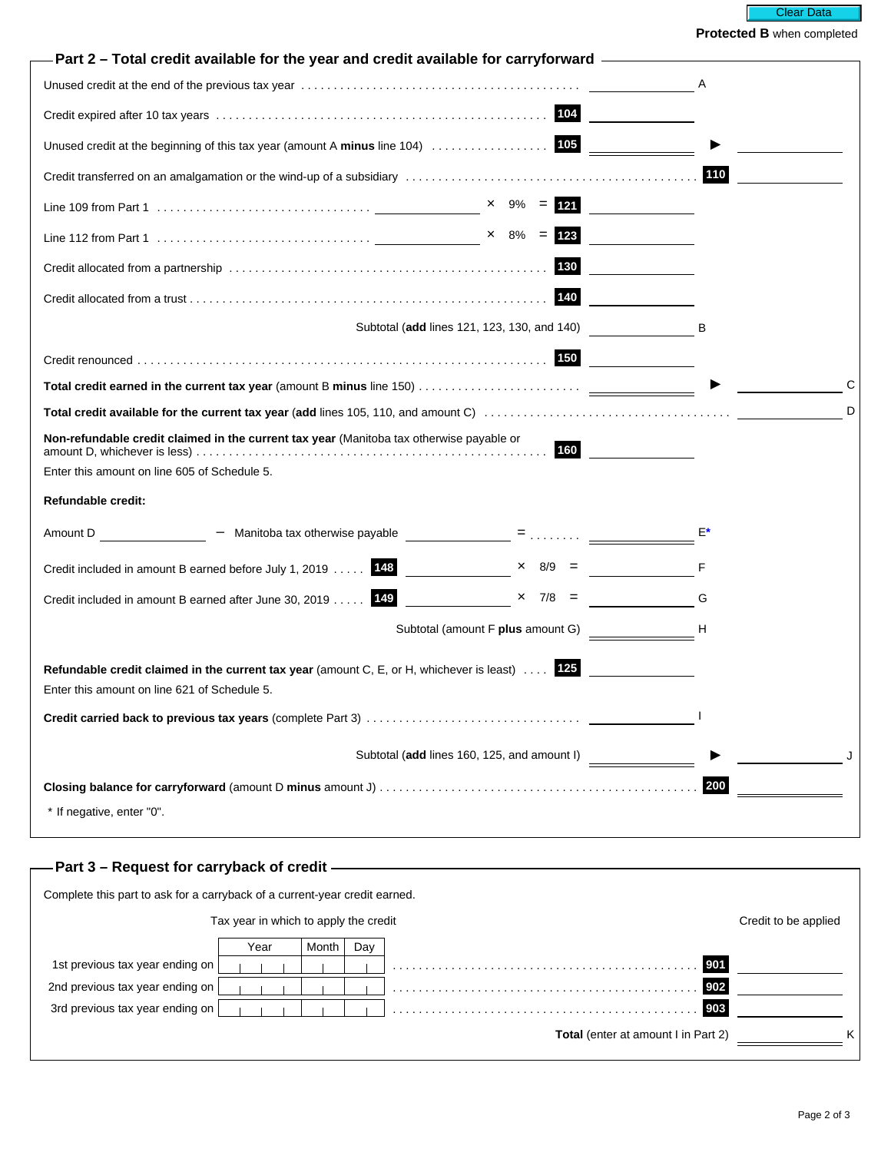

**Protected B** when completed

| Part 2 – Total credit available for the year and credit available for carryforward.                                                                    |                                             |                                                                                                                |   |
|--------------------------------------------------------------------------------------------------------------------------------------------------------|---------------------------------------------|----------------------------------------------------------------------------------------------------------------|---|
| Unused credit at the end of the previous tax year measured contained and contained credit at the end of the previous tax year.                         |                                             |                                                                                                                |   |
|                                                                                                                                                        |                                             |                                                                                                                |   |
|                                                                                                                                                        |                                             |                                                                                                                |   |
|                                                                                                                                                        |                                             |                                                                                                                |   |
|                                                                                                                                                        |                                             |                                                                                                                |   |
|                                                                                                                                                        |                                             |                                                                                                                |   |
|                                                                                                                                                        | 130                                         |                                                                                                                |   |
|                                                                                                                                                        | 140                                         |                                                                                                                |   |
|                                                                                                                                                        | Subtotal (add lines 121, 123, 130, and 140) |                                                                                                                |   |
|                                                                                                                                                        |                                             |                                                                                                                |   |
|                                                                                                                                                        |                                             |                                                                                                                |   |
|                                                                                                                                                        |                                             |                                                                                                                | D |
| Non-refundable credit claimed in the current tax year (Manitoba tax otherwise payable or                                                               | 160                                         |                                                                                                                |   |
| Enter this amount on line 605 of Schedule 5.                                                                                                           |                                             |                                                                                                                |   |
| Refundable credit:                                                                                                                                     |                                             |                                                                                                                |   |
| - Manitoba tax otherwise payable<br>- Contains and Containing the Manitoba tax otherwise payable<br>Amount D                                           |                                             |                                                                                                                |   |
| Credit included in amount B earned before July 1, 2019  148                                                                                            | $\times$ 8/9 =                              |                                                                                                                |   |
| Credit included in amount B earned after June 30, 2019 149                                                                                             | $x \t 7/8 =$                                | and the Control of Green Street and Street and Street and Street and Street and Street and Street and Street a |   |
|                                                                                                                                                        | Subtotal (amount F plus amount G)           | н                                                                                                              |   |
| Refundable credit claimed in the current tax year (amount C, E, or H, whichever is least) $\ldots$ 125<br>Enter this amount on line 621 of Schedule 5. |                                             |                                                                                                                |   |
|                                                                                                                                                        |                                             |                                                                                                                |   |
|                                                                                                                                                        | Subtotal (add lines 160, 125, and amount I) |                                                                                                                |   |
|                                                                                                                                                        |                                             | 200                                                                                                            |   |
| * If negative, enter "0".                                                                                                                              |                                             |                                                                                                                |   |
|                                                                                                                                                        |                                             |                                                                                                                |   |
| - Part 3 – Request for carryback of credit —————————————————————————                                                                                   |                                             |                                                                                                                |   |

| Complete this part to ask for a carryback of a current-year credit earned. |                                       |       |     |                                            |                      |  |
|----------------------------------------------------------------------------|---------------------------------------|-------|-----|--------------------------------------------|----------------------|--|
|                                                                            | Tax year in which to apply the credit |       |     |                                            | Credit to be applied |  |
|                                                                            | Year                                  | Month | Dav |                                            |                      |  |
| 1st previous tax year ending on                                            |                                       |       |     | 901                                        |                      |  |
| 2nd previous tax year ending on                                            |                                       |       |     | 902                                        |                      |  |
| 3rd previous tax year ending on                                            |                                       |       |     | 903                                        |                      |  |
|                                                                            |                                       |       |     | <b>Total</b> (enter at amount I in Part 2) | ĸ                    |  |